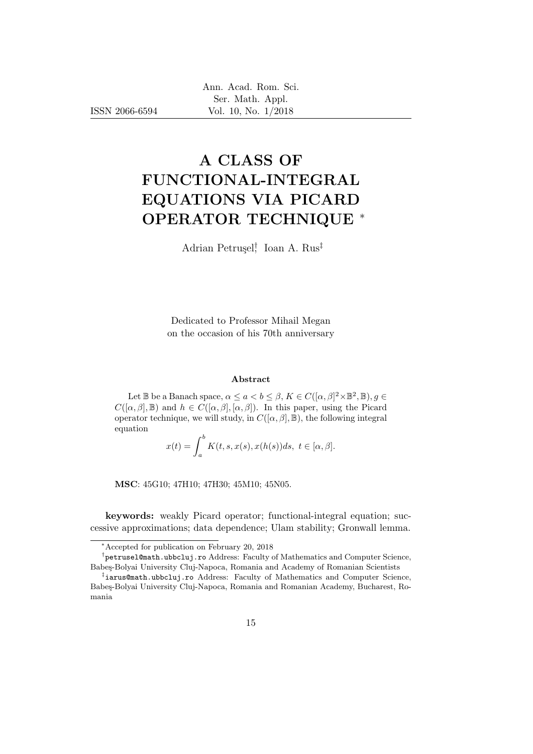ISSN 2066-6594

# A CLASS OF FUNCTIONAL-INTEGRAL EQUATIONS VIA PICARD OPERATOR TECHNIQUE <sup>∗</sup>

Adrian Petruşel<sup>†</sup> Ioan A. Rus<sup>‡</sup>

Dedicated to Professor Mihail Megan on the occasion of his 70th anniversary

#### Abstract

Let  $\mathbb B$  be a Banach space,  $\alpha \le a < b \le \beta$ ,  $K \in C([\alpha, \beta]^2 \times \mathbb B^2, \mathbb B)$ ,  $g \in$  $C([\alpha, \beta], \mathbb{B})$  and  $h \in C([\alpha, \beta], [\alpha, \beta])$ . In this paper, using the Picard operator technique, we will study, in  $C([\alpha, \beta], \mathbb{B})$ , the following integral equation

$$
x(t) = \int_a^b K(t, s, x(s), x(h(s))ds, t \in [\alpha, \beta].
$$

MSC: 45G10; 47H10; 47H30; 45M10; 45N05.

keywords: weakly Picard operator; functional-integral equation; successive approximations; data dependence; Ulam stability; Gronwall lemma.

<sup>∗</sup>Accepted for publication on February 20, 2018

<sup>&</sup>lt;sup>†</sup>petrusel@math.ubbcluj.ro Address: Faculty of Mathematics and Computer Science, Babeş-Bolyai University Cluj-Napoca, Romania and Academy of Romanian Scientists

<sup>‡</sup> iarus@math.ubbcluj.ro Address: Faculty of Mathematics and Computer Science, Babeş-Bolyai University Cluj-Napoca, Romania and Romanian Academy, Bucharest, Romania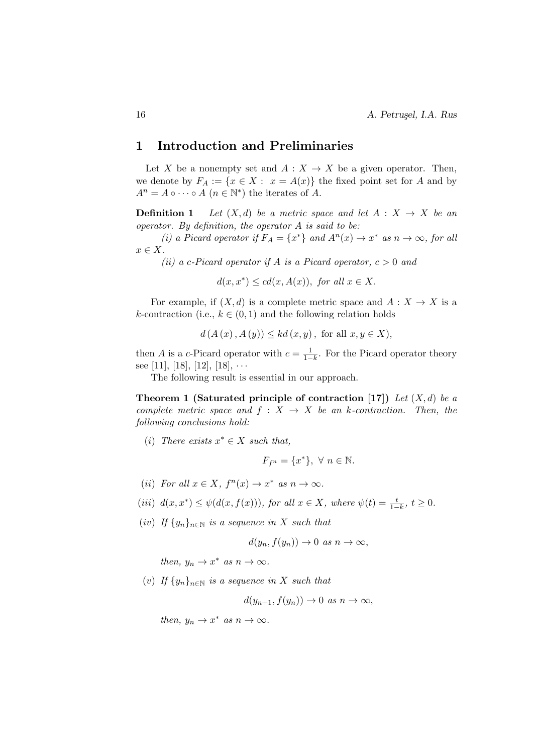# 1 Introduction and Preliminaries

Let X be a nonempty set and  $A: X \to X$  be a given operator. Then, we denote by  $F_A := \{x \in X : x = A(x)\}\$ the fixed point set for A and by  $A^n = A \circ \cdots \circ A \ (n \in \mathbb{N}^*)$  the iterates of A.

**Definition 1** Let  $(X,d)$  be a metric space and let  $A: X \rightarrow X$  be an operator. By definition, the operator  $A$  is said to be:

(i) a Picard operator if  $F_A = \{x^*\}$  and  $A^n(x) \to x^*$  as  $n \to \infty$ , for all  $x \in X$ .

(ii) a c-Picard operator if A is a Picard operator,  $c > 0$  and

 $d(x, x^*) \leq cd(x, A(x)),$  for all  $x \in X$ .

For example, if  $(X, d)$  is a complete metric space and  $A: X \to X$  is a k-contraction (i.e.,  $k \in (0,1)$  and the following relation holds

$$
d(A(x), A(y)) \leq kd(x, y)
$$
, for all  $x, y \in X$ ),

then A is a c-Picard operator with  $c = \frac{1}{1-k}$ . For the Picard operator theory see [11], [18], [12], [18],  $\cdots$ 

The following result is essential in our approach.

Theorem 1 (Saturated principle of contraction [17]) Let  $(X, d)$  be a complete metric space and  $f : X \rightarrow X$  be an k-contraction. Then, the following conclusions hold:

(i) There exists  $x^* \in X$  such that,

$$
F_{f^n} = \{x^*\}, \ \forall \ n \in \mathbb{N}.
$$

(*ii*) For all  $x \in X$ ,  $f^{n}(x) \to x^{*}$  as  $n \to \infty$ .

(iii) 
$$
d(x, x^*) \leq \psi(d(x, f(x))),
$$
 for all  $x \in X$ , where  $\psi(t) = \frac{t}{1-k}$ ,  $t \geq 0$ .

(iv) If  $\{y_n\}_{n\in\mathbb{N}}$  is a sequence in X such that

$$
d(y_n, f(y_n)) \to 0 \text{ as } n \to \infty,
$$

then,  $y_n \to x^*$  as  $n \to \infty$ .

(v) If  $\{y_n\}_{n\in\mathbb{N}}$  is a sequence in X such that

$$
d(y_{n+1}, f(y_n)) \to 0 \text{ as } n \to \infty,
$$

then,  $y_n \to x^*$  as  $n \to \infty$ .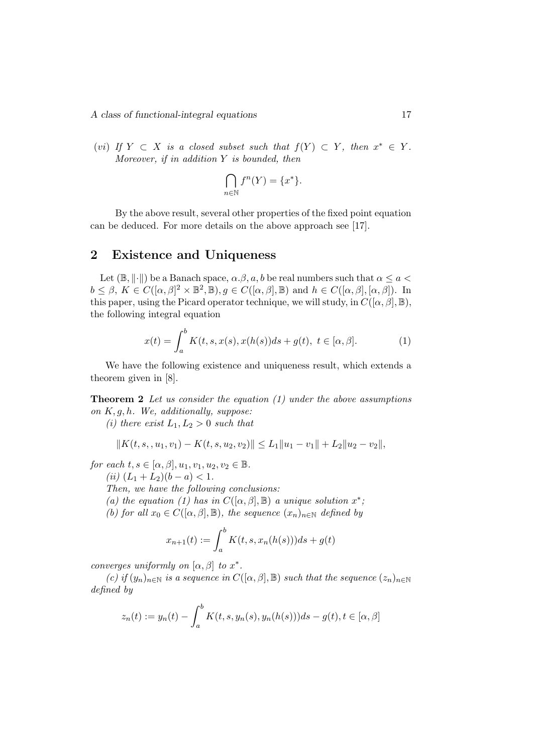A class of functional-integral equations 17

(vi) If  $Y \subset X$  is a closed subset such that  $f(Y) \subset Y$ , then  $x^* \in Y$ . Moreover, if in addition  $Y$  is bounded, then

$$
\bigcap_{n\in\mathbb{N}}f^n(Y)=\{x^*\}.
$$

By the above result, several other properties of the fixed point equation can be deduced. For more details on the above approach see [17].

### 2 Existence and Uniqueness

Let  $(\mathbb{B}, \|\cdot\|)$  be a Banach space,  $\alpha, \beta, a, b$  be real numbers such that  $\alpha \le a <$  $b \leq \beta$ ,  $K \in C([\alpha, \beta]^2 \times \mathbb{B}^2, \mathbb{B}), g \in C([\alpha, \beta], \mathbb{B})$  and  $h \in C([\alpha, \beta], [\alpha, \beta]).$  In this paper, using the Picard operator technique, we will study, in  $C([\alpha, \beta], \mathbb{B})$ , the following integral equation

$$
x(t) = \int_{a}^{b} K(t, s, x(s), x(h(s))ds + g(t), \ t \in [\alpha, \beta].
$$
 (1)

We have the following existence and uniqueness result, which extends a theorem given in [8].

**Theorem 2** Let us consider the equation  $(1)$  under the above assumptions on  $K, q, h$ . We, additionally, suppose:

(i) there exist  $L_1, L_2 > 0$  such that

$$
||K(t, s, u_1, v_1) - K(t, s, u_2, v_2)|| \le L_1 ||u_1 - v_1|| + L_2 ||u_2 - v_2||,
$$

for each  $t, s \in [\alpha, \beta], u_1, v_1, u_2, v_2 \in \mathbb{B}$ .

(*ii*) 
$$
(L_1 + L_2)(b - a) < 1
$$
.

Then, we have the following conclusions:

(a) the equation (1) has in  $C([\alpha, \beta], \mathbb{B})$  a unique solution  $x^*$ ;

(b) for all  $x_0 \in C([\alpha, \beta], \mathbb{B})$ , the sequence  $(x_n)_{n \in \mathbb{N}}$  defined by

$$
x_{n+1}(t) := \int_{a}^{b} K(t, s, x_n(h(s)))ds + g(t)
$$

converges uniformly on  $[\alpha, \beta]$  to  $x^*$ .

(c) if  $(y_n)_{n\in\mathbb{N}}$  is a sequence in  $C([\alpha, \beta], \mathbb{B})$  such that the sequence  $(z_n)_{n\in\mathbb{N}}$ defined by

$$
z_n(t) := y_n(t) - \int_a^b K(t, s, y_n(s), y_n(h(s))) ds - g(t), t \in [\alpha, \beta]
$$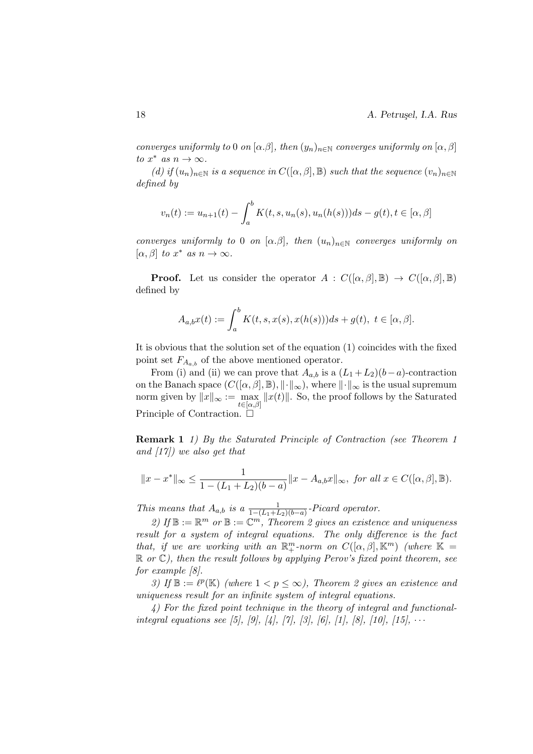converges uniformly to 0 on  $[\alpha, \beta]$ , then  $(y_n)_{n \in \mathbb{N}}$  converges uniformly on  $[\alpha, \beta]$ to  $x^*$  as  $n \to \infty$ .

(d) if  $(u_n)_{n\in\mathbb{N}}$  is a sequence in  $C([\alpha,\beta],\mathbb{B})$  such that the sequence  $(v_n)_{n\in\mathbb{N}}$ defined by

$$
v_n(t) := u_{n+1}(t) - \int_a^b K(t, s, u_n(s), u_n(h(s))) ds - g(t), t \in [\alpha, \beta]
$$

converges uniformly to 0 on  $[\alpha, \beta]$ , then  $(u_n)_{n \in \mathbb{N}}$  converges uniformly on  $[\alpha, \beta]$  to  $x^*$  as  $n \to \infty$ .

**Proof.** Let us consider the operator  $A : C([\alpha, \beta], \mathbb{B}) \to C([\alpha, \beta], \mathbb{B})$ defined by

$$
A_{a,b}x(t) := \int_a^b K(t,s,x(s),x(h(s)))ds + g(t), \ t \in [\alpha, \beta].
$$

It is obvious that the solution set of the equation (1) coincides with the fixed point set  $F_{A_{a,b}}$  of the above mentioned operator.

From (i) and (ii) we can prove that  $A_{a,b}$  is a  $(L_1 + L_2)(b-a)$ -contraction on the Banach space  $(C([\alpha, \beta], \mathbb{B}), \|\cdot\|_{\infty})$ , where  $\|\cdot\|_{\infty}$  is the usual supremum norm given by  $||x||_{\infty} := \max_{k=1} ||x(t)||$ . So, the proof follows by the Saturated  $t\in[\alpha,\beta]$ Principle of Contraction. □

Remark 1 1) By the Saturated Principle of Contraction (see Theorem 1 and  $(17)$  we also get that

$$
||x - x^*||_{\infty} \le \frac{1}{1 - (L_1 + L_2)(b - a)} ||x - A_{a,b}x||_{\infty}, \text{ for all } x \in C([\alpha, \beta], \mathbb{B}).
$$

This means that  $A_{a,b}$  is a  $\frac{1}{1-(L_1+L_2)(b-a)}$ -Picard operator.

2) If  $\mathbb{B} := \mathbb{R}^m$  or  $\mathbb{B} := \mathbb{C}^m$ , Theorem 2 gives an existence and uniqueness result for a system of integral equations. The only difference is the fact that, if we are working with an  $\mathbb{R}^m_+$ -norm on  $C([\alpha,\beta],\mathbb{K}^m)$  (where  $\mathbb{K} =$  $\mathbb R$  or  $\mathbb C$ ), then the result follows by applying Perov's fixed point theorem, see for example [8].

3) If  $\mathbb{B} := \ell^{p}(\mathbb{K})$  (where  $1 < p \leq \infty$ ), Theorem 2 gives an existence and uniqueness result for an infinite system of integral equations.

4) For the fixed point technique in the theory of integral and functionalintegral equations see [5], [9], [4], [7], [3], [6], [1], [8], [10], [15],  $\cdots$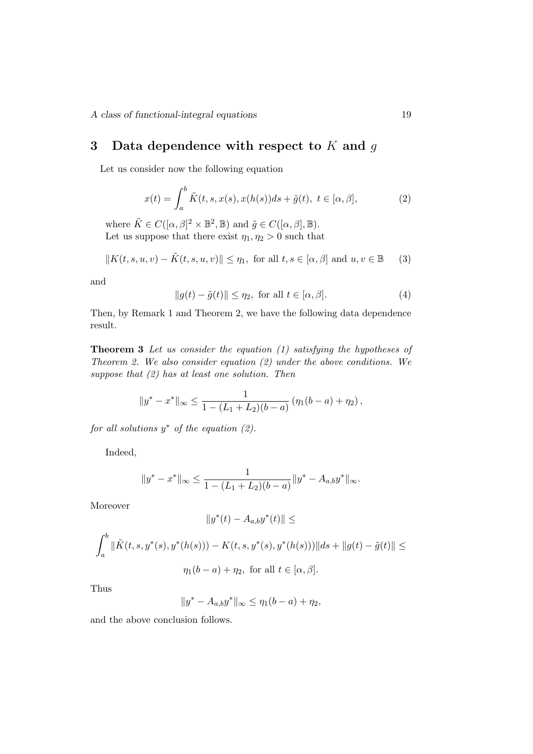# 3 Data dependence with respect to  $K$  and  $q$

Let us consider now the following equation

$$
x(t) = \int_a^b \tilde{K}(t, s, x(s), x(h(s))ds + \tilde{g}(t), t \in [\alpha, \beta],
$$
 (2)

where  $\tilde{K} \in C([\alpha, \beta]^2 \times \mathbb{B}^2, \mathbb{B})$  and  $\tilde{g} \in C([\alpha, \beta], \mathbb{B})$ . Let us suppose that there exist  $\eta_1, \eta_2 > 0$  such that

$$
||K(t, s, u, v) - \tilde{K}(t, s, u, v)|| \le \eta_1, \text{ for all } t, s \in [\alpha, \beta] \text{ and } u, v \in \mathbb{B}
$$
 (3)

and

$$
||g(t) - \tilde{g}(t)|| \le \eta_2, \text{ for all } t \in [\alpha, \beta].
$$
 (4)

Then, by Remark 1 and Theorem 2, we have the following data dependence result.

**Theorem 3** Let us consider the equation  $(1)$  satisfying the hypotheses of Theorem 2. We also consider equation (2) under the above conditions. We suppose that  $(2)$  has at least one solution. Then

$$
||y^* - x^*||_{\infty} \le \frac{1}{1 - (L_1 + L_2)(b - a)} (\eta_1(b - a) + \eta_2),
$$

for all solutions  $y^*$  of the equation  $(2)$ .

Indeed,

$$
||y^* - x^*||_{\infty} \le \frac{1}{1 - (L_1 + L_2)(b - a)} ||y^* - A_{a,b}y^*||_{\infty}.
$$

Moreover

$$
||y^*(t) - A_{a,b}y^*(t)|| \le
$$
  

$$
\int_a^b ||\tilde{K}(t, s, y^*(s), y^*(h(s))) - K(t, s, y^*(s), y^*(h(s)))||ds + ||g(t) - \tilde{g}(t)|| \le
$$
  

$$
\eta_1(b - a) + \eta_2, \text{ for all } t \in [\alpha, \beta].
$$

Thus

$$
||y^* - A_{a,b}y^*||_{\infty} \le \eta_1(b-a) + \eta_2,
$$

and the above conclusion follows.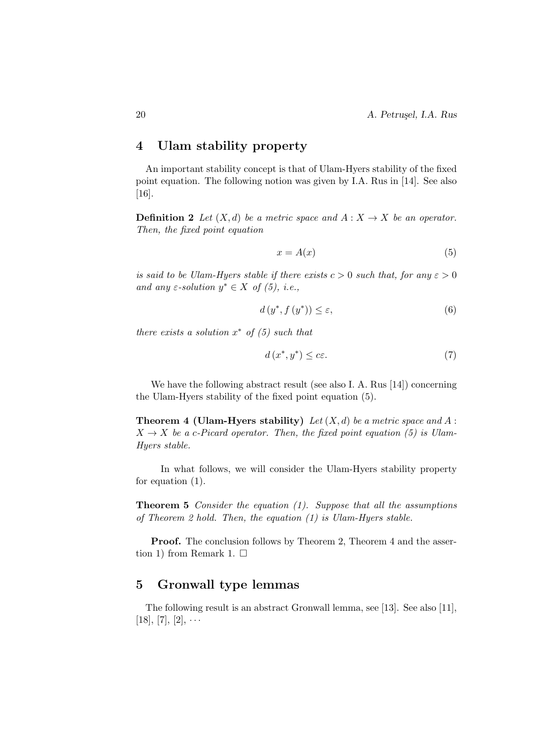# 4 Ulam stability property

An important stability concept is that of Ulam-Hyers stability of the fixed point equation. The following notion was given by I.A. Rus in [14]. See also [16].

**Definition 2** Let  $(X, d)$  be a metric space and  $A: X \to X$  be an operator. Then, the fixed point equation

$$
x = A(x) \tag{5}
$$

is said to be Ulam-Hyers stable if there exists  $c > 0$  such that, for any  $\varepsilon > 0$ and any  $\varepsilon$ -solution  $y^* \in X$  of (5), i.e.,

$$
d(y^*, f(y^*)) \le \varepsilon,\tag{6}
$$

there exists a solution  $x^*$  of  $(5)$  such that

$$
d\left(x^*, y^*\right) \le c\varepsilon. \tag{7}
$$

We have the following abstract result (see also I. A. Rus [14]) concerning the Ulam-Hyers stability of the fixed point equation (5).

**Theorem 4 (Ulam-Hyers stability)** Let  $(X, d)$  be a metric space and A:  $X \rightarrow X$  be a c-Picard operator. Then, the fixed point equation (5) is Ulam-Hyers stable.

In what follows, we will consider the Ulam-Hyers stability property for equation (1).

**Theorem 5** Consider the equation  $(1)$ . Suppose that all the assumptions of Theorem 2 hold. Then, the equation  $(1)$  is Ulam-Hyers stable.

Proof. The conclusion follows by Theorem 2, Theorem 4 and the assertion 1) from Remark 1.  $\square$ 

# 5 Gronwall type lemmas

The following result is an abstract Gronwall lemma, see [13]. See also [11],  $[18]$ ,  $[7]$ ,  $[2]$ ,  $\cdots$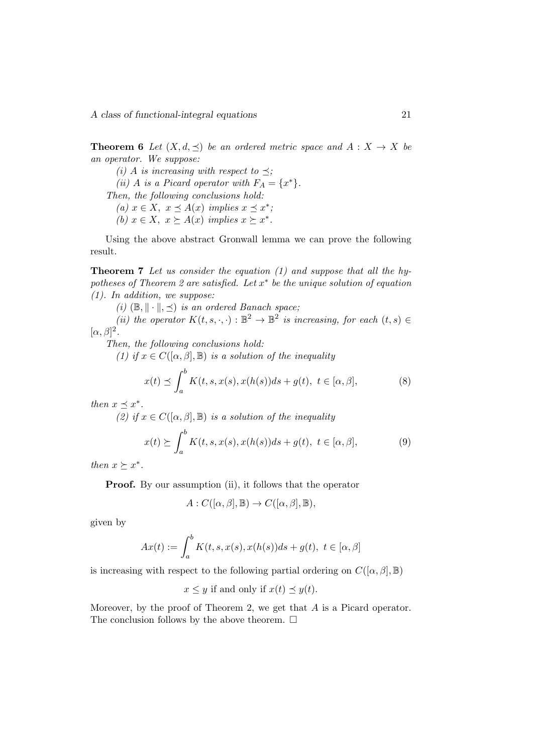**Theorem 6** Let  $(X, d, \prec)$  be an ordered metric space and  $A : X \to X$  be an operator. We suppose:

(i) A is increasing with respect to  $\preceq$ ; (ii) A is a Picard operator with  $F_A = \{x^*\}.$ Then, the following conclusions hold: (a)  $x \in X$ ,  $x \preceq A(x)$  implies  $x \preceq x^*$ ; (b)  $x \in X$ ,  $x \succeq A(x)$  implies  $x \succeq x^*$ .

Using the above abstract Gronwall lemma we can prove the following result.

Theorem 7 Let us consider the equation (1) and suppose that all the hypotheses of Theorem 2 are satisfied. Let  $x^*$  be the unique solution of equation (1). In addition, we suppose:

(i)  $(\mathbb{B}, \|\cdot\|, \preceq)$  is an ordered Banach space;

(ii) the operator  $K(t, s, \cdot, \cdot): \mathbb{B}^2 \to \mathbb{B}^2$  is increasing, for each  $(t, s) \in$  $[\alpha, \beta]^2$ .

Then, the following conclusions hold:

(1) if  $x \in C([\alpha, \beta], \mathbb{B})$  is a solution of the inequality

$$
x(t) \preceq \int_{a}^{b} K(t, s, x(s), x(h(s))ds + g(t), t \in [\alpha, \beta],
$$
\n(8)

then  $x \preceq x^*$ .

(2) if  $x \in C([\alpha, \beta], \mathbb{B})$  is a solution of the inequality

$$
x(t) \succeq \int_a^b K(t, s, x(s), x(h(s))ds + g(t), t \in [\alpha, \beta],
$$
\n(9)

then  $x \succeq x^*$ .

**Proof.** By our assumption (ii), it follows that the operator

$$
A: C([\alpha, \beta], \mathbb{B}) \to C([\alpha, \beta], \mathbb{B}),
$$

given by

$$
Ax(t) := \int_a^b K(t, s, x(s), x(h(s))ds + g(t), t \in [\alpha, \beta]
$$

is increasing with respect to the following partial ordering on  $C([\alpha, \beta], \mathbb{B})$ 

 $x \leq y$  if and only if  $x(t) \preceq y(t)$ .

Moreover, by the proof of Theorem 2, we get that A is a Picard operator. The conclusion follows by the above theorem.  $\Box$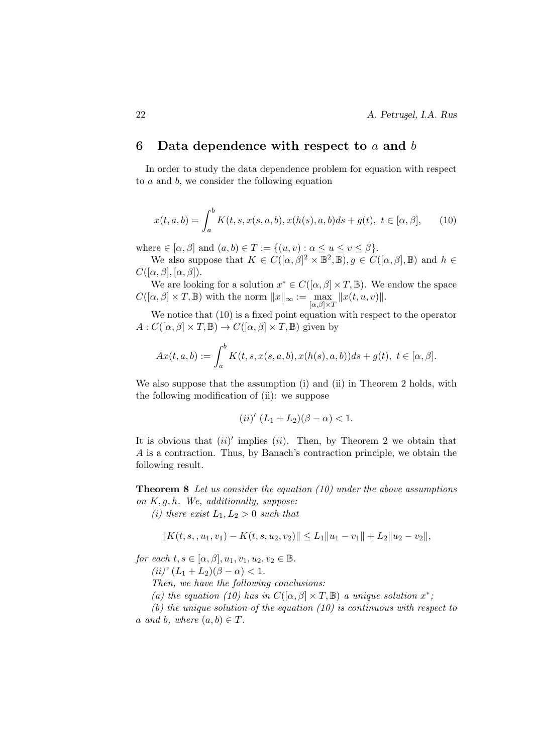## 6 Data dependence with respect to a and b

In order to study the data dependence problem for equation with respect to a and b, we consider the following equation

$$
x(t, a, b) = \int_{a}^{b} K(t, s, x(s, a, b), x(h(s), a, b)ds + g(t), t \in [\alpha, \beta], \quad (10)
$$

where  $\in$  [ $\alpha$ ,  $\beta$ ] and  $(a, b) \in T := \{(u, v) : \alpha \le u \le v \le \beta\}.$ 

We also suppose that  $K \in C([\alpha, \beta]^2 \times \mathbb{B}^2, \mathbb{B}), g \in C([\alpha, \beta], \mathbb{B})$  and  $h \in$  $C([\alpha, \beta], [\alpha, \beta]).$ 

We are looking for a solution  $x^* \in C([\alpha, \beta] \times T, \mathbb{B})$ . We endow the space  $C([\alpha, \beta] \times T, \mathbb{B})$  with the norm  $||x||_{\infty} := \max_{[\alpha, \beta] \times T} ||x(t, u, v)||$ .

We notice that (10) is a fixed point equation with respect to the operator  $A: C([\alpha, \beta] \times T, \mathbb{B}) \to C([\alpha, \beta] \times T, \mathbb{B})$  given by

$$
Ax(t, a, b) := \int_{a}^{b} K(t, s, x(s, a, b), x(h(s), a, b))ds + g(t), t \in [\alpha, \beta].
$$

We also suppose that the assumption (i) and (ii) in Theorem 2 holds, with the following modification of (ii): we suppose

(*ii*)' 
$$
(L_1 + L_2)(\beta - \alpha) < 1
$$
.

It is obvious that  $(ii)'$  implies  $(ii)$ . Then, by Theorem 2 we obtain that A is a contraction. Thus, by Banach's contraction principle, we obtain the following result.

**Theorem 8** Let us consider the equation  $(10)$  under the above assumptions on  $K, g, h$ . We, additionally, suppose:

(i) there exist  $L_1, L_2 > 0$  such that

$$
||K(t,s, u_1, v_1) - K(t,s, u_2, v_2)|| \le L_1 ||u_1 - v_1|| + L_2 ||u_2 - v_2||,
$$

for each  $t, s \in [\alpha, \beta], u_1, v_1, u_2, v_2 \in \mathbb{B}$ .

 $(ii)'(L_1 + L_2)(\beta - \alpha) < 1.$ 

Then, we have the following conclusions:

(a) the equation (10) has in  $C([\alpha, \beta] \times T, \mathbb{B})$  a unique solution  $x^*$ ;

(b) the unique solution of the equation  $(10)$  is continuous with respect to a and b, where  $(a, b) \in T$ .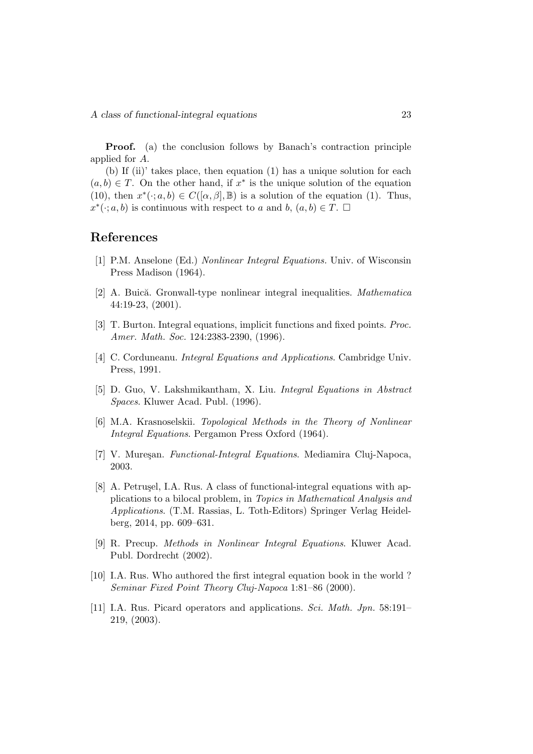Proof. (a) the conclusion follows by Banach's contraction principle applied for A.

(b) If (ii)' takes place, then equation (1) has a unique solution for each  $(a, b) \in T$ . On the other hand, if  $x^*$  is the unique solution of the equation (10), then  $x^*(\cdot; a, b) \in C([\alpha, \beta], \mathbb{B})$  is a solution of the equation (1). Thus,  $x^*(\cdot; a, b)$  is continuous with respect to a and b,  $(a, b) \in T$ .

# References

- [1] P.M. Anselone (Ed.) Nonlinear Integral Equations. Univ. of Wisconsin Press Madison (1964).
- [2] A. Buică. Gronwall-type nonlinear integral inequalities. Mathematica 44:19-23, (2001).
- [3] T. Burton. Integral equations, implicit functions and fixed points. Proc. Amer. Math. Soc. 124:2383-2390, (1996).
- [4] C. Corduneanu. *Integral Equations and Applications*. Cambridge Univ. Press, 1991.
- [5] D. Guo, V. Lakshmikantham, X. Liu. Integral Equations in Abstract Spaces. Kluwer Acad. Publ. (1996).
- [6] M.A. Krasnoselskii. Topological Methods in the Theory of Nonlinear Integral Equations. Pergamon Press Oxford (1964).
- [7] V. Mureșan. Functional-Integral Equations. Mediamira Cluj-Napoca, 2003.
- [8] A. Petrusel, I.A. Rus. A class of functional-integral equations with applications to a bilocal problem, in Topics in Mathematical Analysis and Applications. (T.M. Rassias, L. Toth-Editors) Springer Verlag Heidelberg, 2014, pp. 609–631.
- [9] R. Precup. Methods in Nonlinear Integral Equations. Kluwer Acad. Publ. Dordrecht (2002).
- [10] I.A. Rus. Who authored the first integral equation book in the world ? Seminar Fixed Point Theory Cluj-Napoca 1:81–86 (2000).
- [11] I.A. Rus. Picard operators and applications. Sci. Math. Jpn. 58:191– 219, (2003).